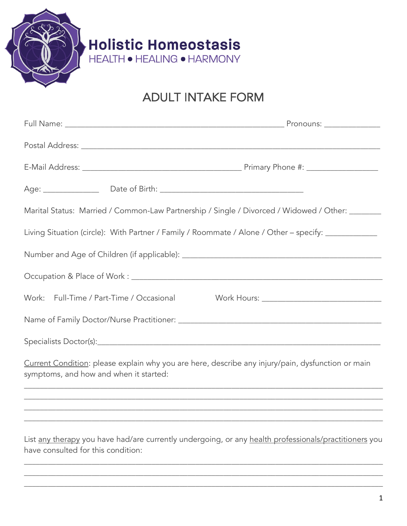

## ADULT INTAKE FORM

|                                          | Marital Status: Married / Common-Law Partnership / Single / Divorced / Widowed / Other: _______     |
|------------------------------------------|-----------------------------------------------------------------------------------------------------|
|                                          | Living Situation (circle): With Partner / Family / Roommate / Alone / Other - specify: ____________ |
|                                          |                                                                                                     |
|                                          |                                                                                                     |
| Work: Full-Time / Part-Time / Occasional |                                                                                                     |
|                                          |                                                                                                     |
|                                          |                                                                                                     |
| symptoms, and how and when it started:   | Current Condition: please explain why you are here, describe any injury/pain, dysfunction or main   |
|                                          | <u> 1980 - Jan Barnett, fransk politik (d. 1980)</u>                                                |
|                                          |                                                                                                     |

List any therapy you have had/are currently undergoing, or any health professionals/practitioners you have consulted for this condition:

\_\_\_\_\_\_\_\_\_\_\_\_\_\_\_\_\_\_\_\_\_\_\_\_\_\_\_\_\_\_\_\_\_\_\_\_\_\_\_\_\_\_\_\_\_\_\_\_\_\_\_\_\_\_\_\_\_\_\_\_\_\_\_\_\_\_\_\_\_\_\_\_\_\_\_\_\_\_\_\_\_\_\_\_\_\_\_\_\_\_ \_\_\_\_\_\_\_\_\_\_\_\_\_\_\_\_\_\_\_\_\_\_\_\_\_\_\_\_\_\_\_\_\_\_\_\_\_\_\_\_\_\_\_\_\_\_\_\_\_\_\_\_\_\_\_\_\_\_\_\_\_\_\_\_\_\_\_\_\_\_\_\_\_\_\_\_\_\_\_\_\_\_\_\_\_\_\_\_\_\_ \_\_\_\_\_\_\_\_\_\_\_\_\_\_\_\_\_\_\_\_\_\_\_\_\_\_\_\_\_\_\_\_\_\_\_\_\_\_\_\_\_\_\_\_\_\_\_\_\_\_\_\_\_\_\_\_\_\_\_\_\_\_\_\_\_\_\_\_\_\_\_\_\_\_\_\_\_\_\_\_\_\_\_\_\_\_\_\_\_\_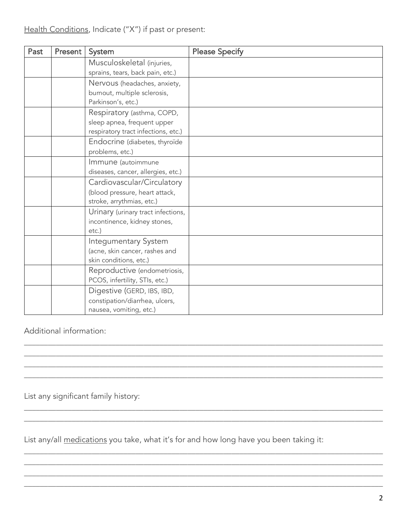| Past | Present | System                                                                                           | <b>Please Specify</b> |
|------|---------|--------------------------------------------------------------------------------------------------|-----------------------|
|      |         | Musculoskeletal (injuries,<br>sprains, tears, back pain, etc.)                                   |                       |
|      |         | Nervous (headaches, anxiety,<br>burnout, multiple sclerosis,<br>Parkinson's, etc.)               |                       |
|      |         | Respiratory (asthma, COPD,<br>sleep apnea, frequent upper<br>respiratory tract infections, etc.) |                       |
|      |         | Endocrine (diabetes, thyroïde<br>problems, etc.)                                                 |                       |
|      |         | Immune (autoimmune<br>diseases, cancer, allergies, etc.)                                         |                       |
|      |         | Cardiovascular/Circulatory<br>(blood pressure, heart attack,<br>stroke, arrythmias, etc.)        |                       |
|      |         | Urinary (urinary tract infections,<br>incontinence, kidney stones,<br>$etc.$ )                   |                       |
|      |         | Integumentary System<br>(acne, skin cancer, rashes and<br>skin conditions, etc.)                 |                       |
|      |         | Reproductive (endometriosis,<br>PCOS, infertility, STIs, etc.)                                   |                       |
|      |         | Digestive (GERD, IBS, IBD,<br>constipation/diarrhea, ulcers,<br>nausea, vomiting, etc.)          |                       |

\_\_\_\_\_\_\_\_\_\_\_\_\_\_\_\_\_\_\_\_\_\_\_\_\_\_\_\_\_\_\_\_\_\_\_\_\_\_\_\_\_\_\_\_\_\_\_\_\_\_\_\_\_\_\_\_\_\_\_\_\_\_\_\_\_\_\_\_\_\_\_\_\_\_\_\_\_\_\_\_\_\_\_\_\_\_\_\_\_\_ \_\_\_\_\_\_\_\_\_\_\_\_\_\_\_\_\_\_\_\_\_\_\_\_\_\_\_\_\_\_\_\_\_\_\_\_\_\_\_\_\_\_\_\_\_\_\_\_\_\_\_\_\_\_\_\_\_\_\_\_\_\_\_\_\_\_\_\_\_\_\_\_\_\_\_\_\_\_\_\_\_\_\_\_\_\_\_\_\_\_ \_\_\_\_\_\_\_\_\_\_\_\_\_\_\_\_\_\_\_\_\_\_\_\_\_\_\_\_\_\_\_\_\_\_\_\_\_\_\_\_\_\_\_\_\_\_\_\_\_\_\_\_\_\_\_\_\_\_\_\_\_\_\_\_\_\_\_\_\_\_\_\_\_\_\_\_\_\_\_\_\_\_\_\_\_\_\_\_\_\_ \_\_\_\_\_\_\_\_\_\_\_\_\_\_\_\_\_\_\_\_\_\_\_\_\_\_\_\_\_\_\_\_\_\_\_\_\_\_\_\_\_\_\_\_\_\_\_\_\_\_\_\_\_\_\_\_\_\_\_\_\_\_\_\_\_\_\_\_\_\_\_\_\_\_\_\_\_\_\_\_\_\_\_\_\_\_\_\_\_\_

\_\_\_\_\_\_\_\_\_\_\_\_\_\_\_\_\_\_\_\_\_\_\_\_\_\_\_\_\_\_\_\_\_\_\_\_\_\_\_\_\_\_\_\_\_\_\_\_\_\_\_\_\_\_\_\_\_\_\_\_\_\_\_\_\_\_\_\_\_\_\_\_\_\_\_\_\_\_\_\_\_\_\_\_\_\_\_\_\_\_

\_\_\_\_\_\_\_\_\_\_\_\_\_\_\_\_\_\_\_\_\_\_\_\_\_\_\_\_\_\_\_\_\_\_\_\_\_\_\_\_\_\_\_\_\_\_\_\_\_\_\_\_\_\_\_\_\_\_\_\_\_\_\_\_\_\_\_\_\_\_\_\_\_\_\_\_\_\_\_\_\_\_\_\_\_\_\_\_\_\_ \_\_\_\_\_\_\_\_\_\_\_\_\_\_\_\_\_\_\_\_\_\_\_\_\_\_\_\_\_\_\_\_\_\_\_\_\_\_\_\_\_\_\_\_\_\_\_\_\_\_\_\_\_\_\_\_\_\_\_\_\_\_\_\_\_\_\_\_\_\_\_\_\_\_\_\_\_\_\_\_\_\_\_\_\_\_\_\_\_\_ \_\_\_\_\_\_\_\_\_\_\_\_\_\_\_\_\_\_\_\_\_\_\_\_\_\_\_\_\_\_\_\_\_\_\_\_\_\_\_\_\_\_\_\_\_\_\_\_\_\_\_\_\_\_\_\_\_\_\_\_\_\_\_\_\_\_\_\_\_\_\_\_\_\_\_\_\_\_\_\_\_\_\_\_\_\_\_\_\_\_ \_\_\_\_\_\_\_\_\_\_\_\_\_\_\_\_\_\_\_\_\_\_\_\_\_\_\_\_\_\_\_\_\_\_\_\_\_\_\_\_\_\_\_\_\_\_\_\_\_\_\_\_\_\_\_\_\_\_\_\_\_\_\_\_\_\_\_\_\_\_\_\_\_\_\_\_\_\_\_\_\_\_\_\_\_\_\_\_\_\_

Additional information:

List any significant family history:

List any/all medications you take, what it's for and how long have you been taking it:

\_\_\_\_\_\_\_\_\_\_\_\_\_\_\_\_\_\_\_\_\_\_\_\_\_\_\_\_\_\_\_\_\_\_\_\_\_\_\_\_\_\_\_\_\_\_\_\_\_\_\_\_\_\_\_\_\_\_\_\_\_\_\_\_\_\_\_\_\_\_\_\_\_\_\_\_\_\_\_\_\_\_\_\_\_\_\_\_\_\_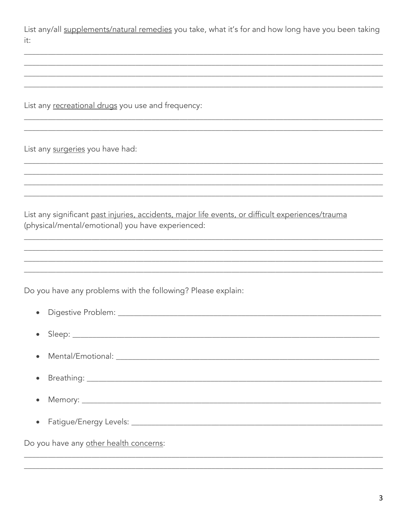List any/all supplements/natural remedies you take, what it's for and how long have you been taking it:

List any recreational drugs you use and frequency:

List any surgeries you have had:

List any significant past injuries, accidents, major life events, or difficult experiences/trauma (physical/mental/emotional) you have experienced:

Do you have any problems with the following? Please explain:

| • Mental/Emotional: 1999 Mental American American American American American American American American American American American American American American American American American American American American American A |
|--------------------------------------------------------------------------------------------------------------------------------------------------------------------------------------------------------------------------------|
|                                                                                                                                                                                                                                |
|                                                                                                                                                                                                                                |
|                                                                                                                                                                                                                                |
| Do you have any other health concerns:                                                                                                                                                                                         |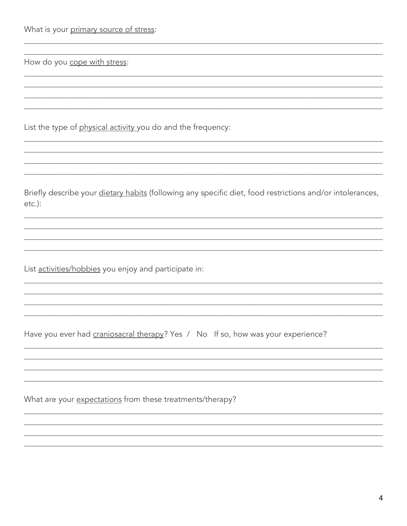|  | What is your primary source of stress: |  |  |
|--|----------------------------------------|--|--|
|  |                                        |  |  |

How do you cope with stress:

List the type of physical activity you do and the frequency:

Briefly describe your dietary habits (following any specific diet, food restrictions and/or intolerances,  $etc.$ ):

List activities/hobbies you enjoy and participate in:

Have you ever had craniosacral therapy? Yes / No If so, how was your experience?

What are your expectations from these treatments/therapy?